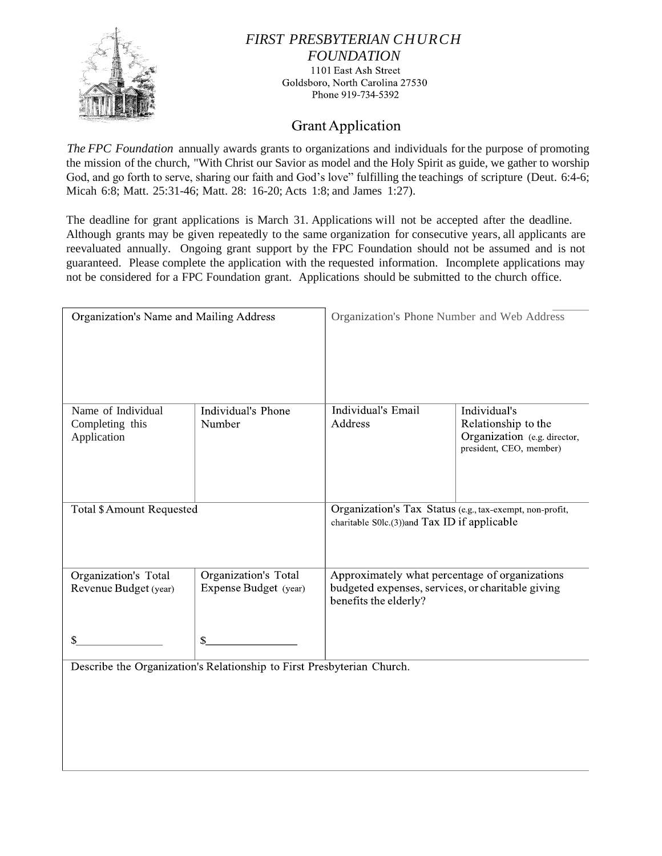

## *FIRST PRESBYTERIAN CHURCH FOUNDATION* 1101 East Ash Street Goldsboro, North Carolina 27530 Phone 919-734-5392

## **Grant Application**

*The FPC Foundation* annually awards grants to organizations and individuals for the purpose of promoting the mission of the church, "With Christ our Savior as model and the Holy Spirit as guide, we gather to worship God, and go forth to serve, sharing our faith and God's love" fulfilling the teachings of scripture (Deut. 6:4-6; Micah 6:8; Matt. 25:31-46; Matt. 28: 16-20; Acts 1:8; and James 1:27).

The deadline for grant applications is March 31. Applications will not be accepted after the deadline. Although grants may be given repeatedly to the same organization for consecutive years, all applicants are reevaluated annually. Ongoing grant support by the FPC Foundation should not be assumed and is not guaranteed. Please complete the application with the requested information. Incomplete applications may not be considered for a FPC Foundation grant. Applications should be submitted to the church office.

| Organization's Name and Mailing Address              |                                                                              | Organization's Phone Number and Web Address                                                                                  |                                                                                                |
|------------------------------------------------------|------------------------------------------------------------------------------|------------------------------------------------------------------------------------------------------------------------------|------------------------------------------------------------------------------------------------|
| Name of Individual<br>Completing this<br>Application | Individual's Phone<br>Number                                                 | Individual's Email<br>Address                                                                                                | Individual's<br>Relationship to the<br>Organization (e.g. director,<br>president, CEO, member) |
| <b>Total \$ Amount Requested</b>                     |                                                                              | Organization's Tax Status (e.g., tax-exempt, non-profit,<br>charitable S0lc.(3))and Tax ID if applicable                     |                                                                                                |
| Organization's Total<br>Revenue Budget (year)        | Organization's Total<br>Expense Budget (year)                                | Approximately what percentage of organizations<br>budgeted expenses, services, or charitable giving<br>benefits the elderly? |                                                                                                |
|                                                      | \$<br>Describe the Organization's Relationship to First Presbyterian Church. |                                                                                                                              |                                                                                                |